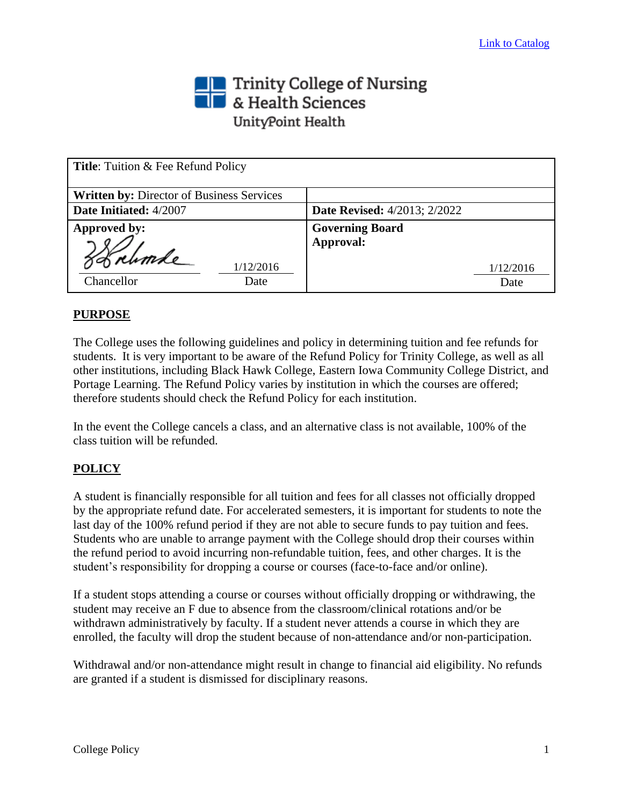## Trinity College of Nursing<br>THE & Health Sciences UnityPoint Health

| Title: Tuition & Fee Refund Policy               |                                     |  |
|--------------------------------------------------|-------------------------------------|--|
| <b>Written by: Director of Business Services</b> |                                     |  |
| Date Initiated: 4/2007                           | <b>Date Revised:</b> 4/2013; 2/2022 |  |
| Approved by:                                     | <b>Governing Board</b>              |  |
| 39 rumle                                         | Approval:                           |  |
| 1/12/2016                                        | 1/12/2016                           |  |
| Chancellor<br>Date                               | Date                                |  |

## **PURPOSE**

The College uses the following guidelines and policy in determining tuition and fee refunds for students. It is very important to be aware of the Refund Policy for Trinity College, as well as all other institutions, including Black Hawk College, Eastern Iowa Community College District, and Portage Learning. The Refund Policy varies by institution in which the courses are offered; therefore students should check the Refund Policy for each institution.

In the event the College cancels a class, and an alternative class is not available, 100% of the class tuition will be refunded.

## **POLICY**

A student is financially responsible for all tuition and fees for all classes not officially dropped by the appropriate refund date. For accelerated semesters, it is important for students to note the last day of the 100% refund period if they are not able to secure funds to pay tuition and fees. Students who are unable to arrange payment with the College should drop their courses within the refund period to avoid incurring non-refundable tuition, fees, and other charges. It is the student's responsibility for dropping a course or courses (face-to-face and/or online).

If a student stops attending a course or courses without officially dropping or withdrawing, the student may receive an F due to absence from the classroom/clinical rotations and/or be withdrawn administratively by faculty. If a student never attends a course in which they are enrolled, the faculty will drop the student because of non-attendance and/or non-participation.

Withdrawal and/or non-attendance might result in change to financial aid eligibility. No refunds are granted if a student is dismissed for disciplinary reasons.